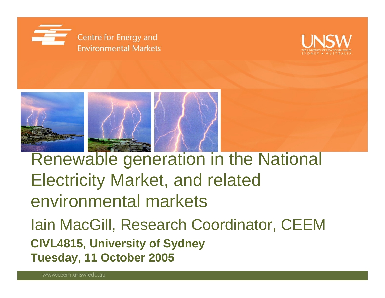





Renewable generation in the National Electricity Market, and related environmental markets Iain MacGill, Research Coordinator, CEEM **CIVL4815, University of Sydney Tuesday, 11 October 2005**

www.ceem.unsw.edu.au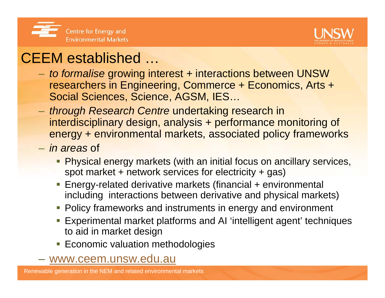



#### CEEM established …

- – *to formalise* growing interest + interactions between UNSW researchers in Engineering, Commerce + Economics, Arts + Social Sciences, Science, AGSM, IES…
- – *through Research Centre* undertaking research in interdisciplinary design, analysis + performance monitoring of energy + environmental markets, associated policy frameworks
- *in areas* of
	- **Physical energy markets (with an initial focus on ancillary services,** spot market + network services for electricity + gas)
	- Energy-related derivative markets (financial + environmental including interactions between derivative and physical markets)
	- **Policy frameworks and instruments in energy and environment**
	- Experimental market platforms and AI 'intelligent agent' techniques to aid in market design
	- **Economic valuation methodologies**
- www.ceem.unsw.edu.au

Renewable generation in the NEM and related environmental markets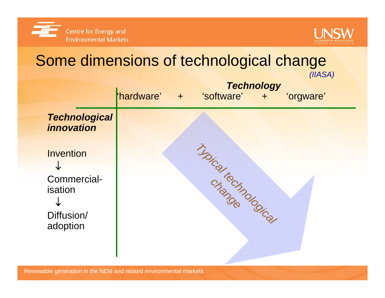



### Some dimensions of technological change

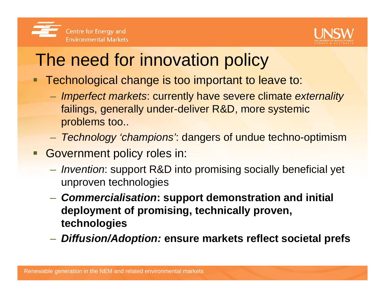

# The need for innovation policy

- Technological change is too important to leave to:
	- *Imperfect markets*: currently have severe climate *externality* failings, generally under-deliver R&D, more systemic problems too..
	- *Technology 'champions'*: dangers of undue techno-optimism
- **Government policy roles in:** 
	- *Invention*: support R&D into promising socially beneficial yet unproven technologies
	- *Commercialisation***: support demonstration and initial deployment of promising, technically proven, technologies**
	- *Diffusion/Adoption:* **ensure markets reflect societal prefs**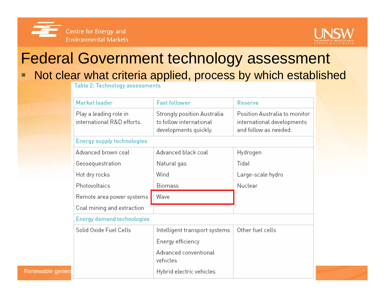



# Federal Government technology assessment

О Not clear what criteria applied, process by which established

| Market leader                                        | <b>Fast follower</b>                                                            | <b>Reserve</b>                                                                       |  |  |  |  |  |  |
|------------------------------------------------------|---------------------------------------------------------------------------------|--------------------------------------------------------------------------------------|--|--|--|--|--|--|
| Play a leading role in<br>international R&D efforts. | Strongly position Australia<br>to follow international<br>developments quickly. | Position Australia to monitor<br>international developments<br>and follow as needed. |  |  |  |  |  |  |
| <b>Energy supply technologies</b>                    |                                                                                 |                                                                                      |  |  |  |  |  |  |
| Advanced brown coal                                  | Advanced black coal                                                             | Hydrogen                                                                             |  |  |  |  |  |  |
| Geosequestration                                     | Natural gas                                                                     | Tidal                                                                                |  |  |  |  |  |  |
| Hot dry rocks                                        | Wind                                                                            | Large-scale hydro                                                                    |  |  |  |  |  |  |
| Photovoltaics                                        | <b>Biomass</b>                                                                  | Nuclear                                                                              |  |  |  |  |  |  |
| Remote area power systems                            | Wave                                                                            |                                                                                      |  |  |  |  |  |  |
|                                                      |                                                                                 |                                                                                      |  |  |  |  |  |  |
| Coal mining and extraction                           |                                                                                 |                                                                                      |  |  |  |  |  |  |
| <b>Energy demand technologies</b>                    |                                                                                 |                                                                                      |  |  |  |  |  |  |
| Solid Oxide Fuel Cells                               | Intelligent transport systems                                                   | Other fuel cells                                                                     |  |  |  |  |  |  |
|                                                      | Energy efficiency                                                               |                                                                                      |  |  |  |  |  |  |
|                                                      | Advanced conventional<br>vehicles                                               |                                                                                      |  |  |  |  |  |  |

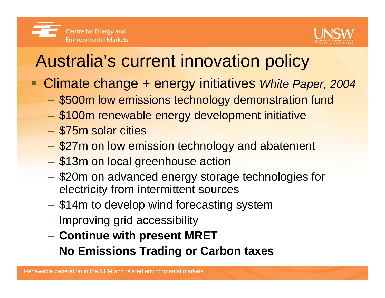

# Australia's current innovation policy

- $\blacksquare$  Climate change + energy initiatives *White Paper, 2004*
	- \$500m low emissions technology demonstration fund
	- \$100m renewable energy development initiative
	- \$75m solar cities
	- **\$27m on low emission technology and abatement**
	- $\mathcal{L}_{\mathcal{A}}$ **- \$13m on local greenhouse action**
	- –- \$20m on advanced energy storage technologies for electricity from intermittent sources
	- \$14m to develop wind forecasting system
	- Improving grid accessibility
	- –**Continue with present MRET**
	- **No Emissions Trading or Carbon taxes**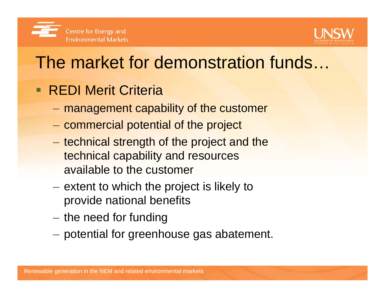



# The market for demonstration funds…

- **REDI Merit Criteria** 
	- $\mathcal{L}_{\mathcal{A}}$ management capability of the customer
	- $\mathcal{L}_{\mathcal{A}}$ - commercial potential of the project
	- $\mathcal{L}_{\mathcal{A}}$ – technical strength of the project and the technical capability and resources available to the customer
	- $-$  extent to which the project is likely to  $\,$ provide national benefits
	- $\mathcal{L}_{\mathcal{A}}$  $-$  the need for funding
	- $\mathcal{L}_{\mathcal{A}}$ potential for greenhouse gas abatement.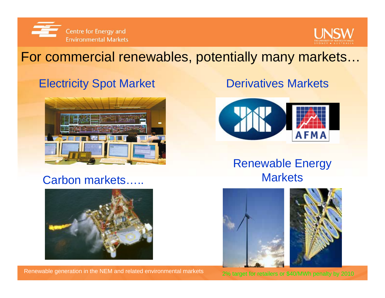



#### For commercial renewables, potentially many markets…

#### **Electricity Spot Market Derivatives Markets**



#### Carbon markets…..



Renewable generation in the NEM and related environmental markets



#### Renewable Energy **Markets**

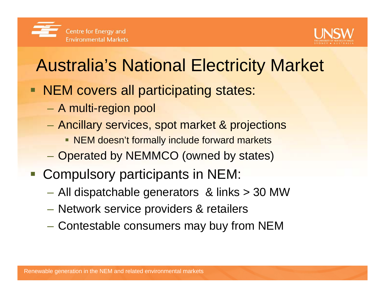



# Australia's National Electricity Market

- **NEM covers all participating states:** 
	- $\mathcal{L}_{\mathcal{A}}$ A multi-region pool
	- $\mathcal{L}_{\mathcal{A}}$  Ancillary services, spot market & projections
		- **NEM doesn't formally include forward markets**
	- Operated by NEMMCO (owned by states)
- **Compulsory participants in NEM:** 
	- –All dispatchable generators & links > 30 MW
	- –Network service providers & retailers
	- –Contestable consumers may buy from NEM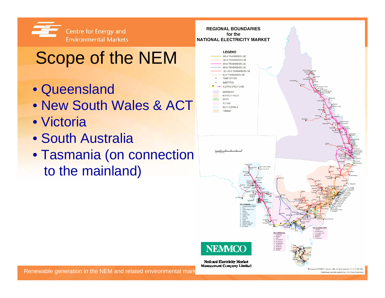

# Scope of the NEM

- Queensland
- New South Wales & ACT
- Victoria
- South Australia
- Tasmania (on connection to the mainland)

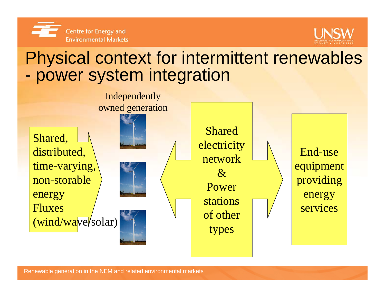



# Physical context for intermittent renewables power system integration

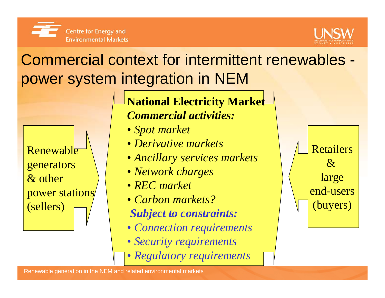



# Commercial context for intermittent renewables power system integration in NEM

**Renewable** generators & other power stations (sellers)

**National Electricity Market** *Commercial activities:*

- *Spot market*
- *Derivative markets*
- *Ancillary services markets*
- *Network charges*
- *REC market*
- *Carbon markets?Subject to constraints:*
- *Connection requirements*
- *Security requirements*
- *Regulatory requirements*

Retailers $\mathcal{R}_{\mathcal{I}}$ large end-users(buyers)

Renewable generation in the NEM and related environmental markets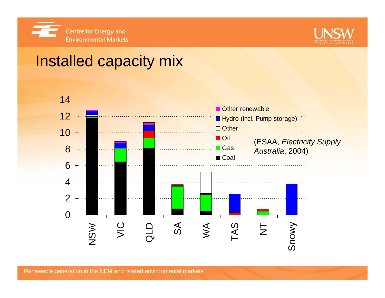



### Installed capacity mix

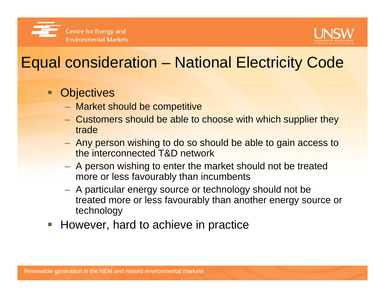



# Equal consideration – National Electricity Code

#### $\blacksquare$ **Objectives**

- $-$  Market should be competitive
- Customers should be able to choose with which supplier they trade
- Any person wishing to do so should be able to gain access to the interconnected T&D network
- A person wishing to enter the market should not be treated more or less favourably than incumbents
- $-$  A particular energy source or technology should not be  $\overline{\phantom{a}}$ treated more or less favourably than another energy source or technology
- $\overline{\mathbb{R}^n}$ However, hard to achieve in practice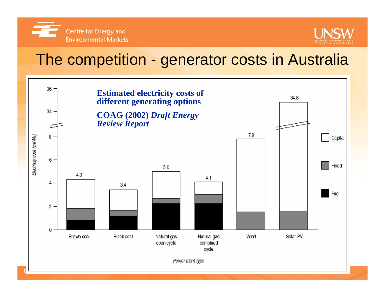



#### The competition - generator costs in Australia

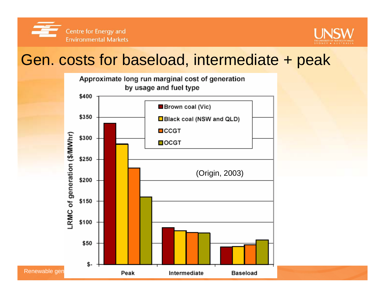



#### Gen. costs for baseload, intermediate + peak

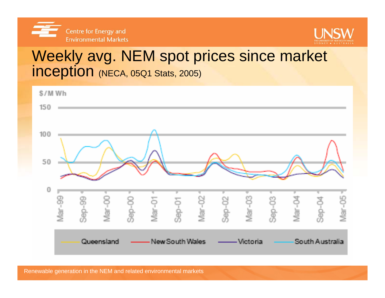



#### Weekly avg. NEM spot prices since market inception (NECA, 05Q1 Stats, 2005)

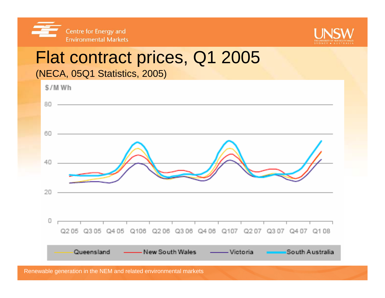



# Flat contract prices, Q1 2005

(NECA, 05Q1 Statistics, 2005)

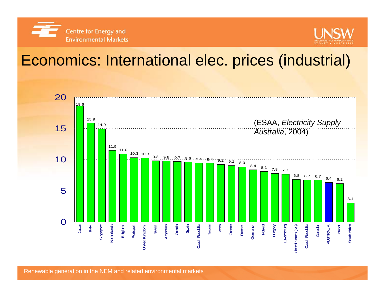



### Economics: International elec. prices (industrial)

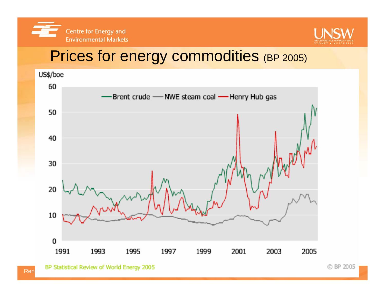



### Prices for energy commodities (BP 2005)

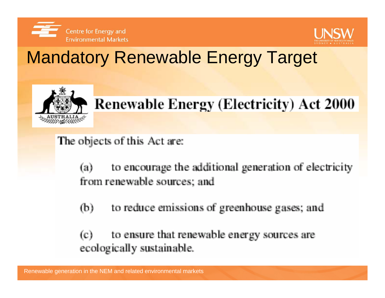



# Mandatory Renewable Energy Target



# **Renewable Energy (Electricity) Act 2000**

The objects of this Act are:

to encourage the additional generation of electricity (a) from renewable sources; and

to reduce emissions of greenhouse gases; and  $(b)$ 

to ensure that renewable energy sources are  $(c)$ ecologically sustainable.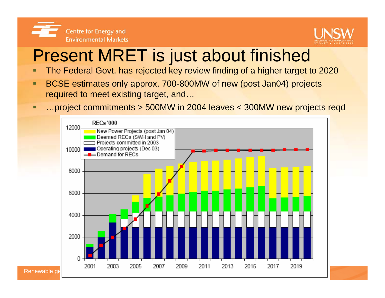



# Present MRET is just about finished

- The Federal Govt. has rejected key review finding of a higher target to 2020
- п BCSE estimates only approx. 700-800MW of new (post Jan04) projects required to meet existing target, and…
- о …project commitments > 500MW in 2004 leaves < 300MW new projects reqd

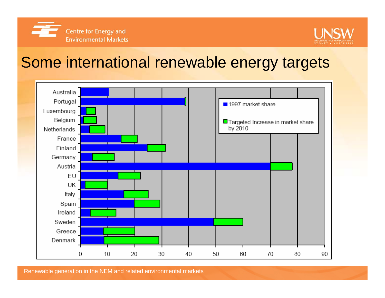



#### Some international renewable energy targets



Renewable generation in the NEM and related environmental markets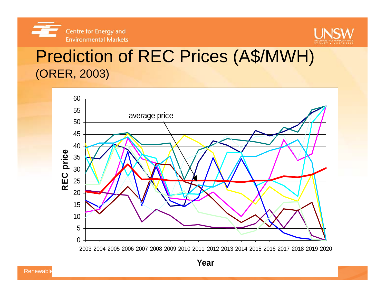



### Prediction of REC Prices (A\$/MWH) (ORER, 2003)

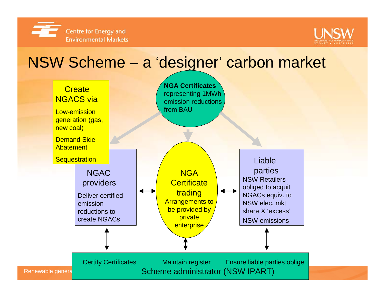



#### NSW Scheme – <sup>a</sup>'designer' carbon market

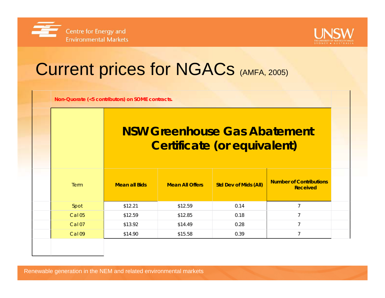



# Current prices for NGACs (AMFA, 2005)

**Non-Quorate (<5 contributors) on SOME contracts.**

#### **NSW Greenhouse Gas Abatement Certificate (or equivalent)**

| <b>Term</b>       | <b>Mean all Bids</b> | <b>Mean All Offers</b> | <b>Std Dev of Mids (All)</b> | <b>Number of Contributions</b><br><b>Received</b> |  |
|-------------------|----------------------|------------------------|------------------------------|---------------------------------------------------|--|
| Spot              | \$12.21              | \$12.59                | 0.14                         |                                                   |  |
| <b>Cal 05</b>     | \$12.59              | \$12.85                | 0.18                         |                                                   |  |
| Cal <sub>07</sub> | \$13.92              | \$14.49                | 0.28                         |                                                   |  |
| Cal 09            | \$14.90              | \$15.58                | 0.39                         |                                                   |  |
|                   |                      |                        |                              |                                                   |  |

Renewable generation in the NEM and related environmental markets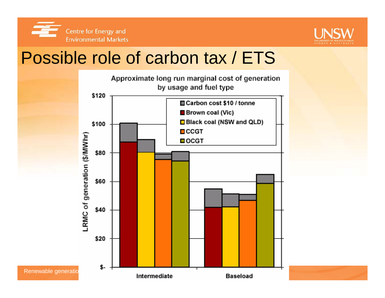



# Possible role of carbon tax / ETS